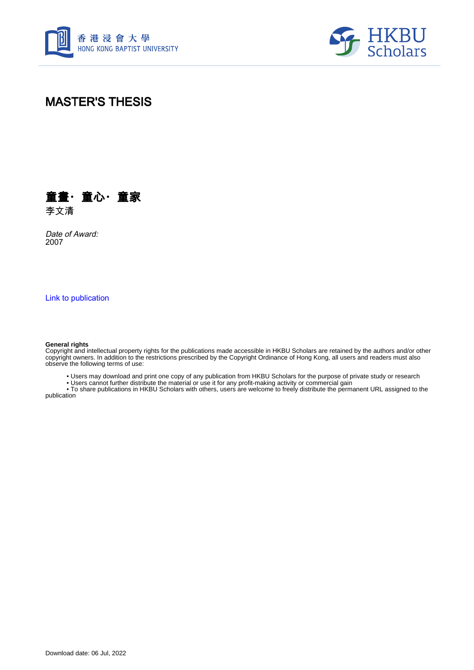



# MASTER'S THESIS



Date of Award: 2007

[Link to publication](https://scholars.hkbu.edu.hk/en/studentTheses/2ac79a71-ca95-4f8e-83d5-be7931e0b6d1)

#### **General rights**

Copyright and intellectual property rights for the publications made accessible in HKBU Scholars are retained by the authors and/or other copyright owners. In addition to the restrictions prescribed by the Copyright Ordinance of Hong Kong, all users and readers must also observe the following terms of use:

• Users may download and print one copy of any publication from HKBU Scholars for the purpose of private study or research

• Users cannot further distribute the material or use it for any profit-making activity or commercial gain

 • To share publications in HKBU Scholars with others, users are welcome to freely distribute the permanent URL assigned to the publication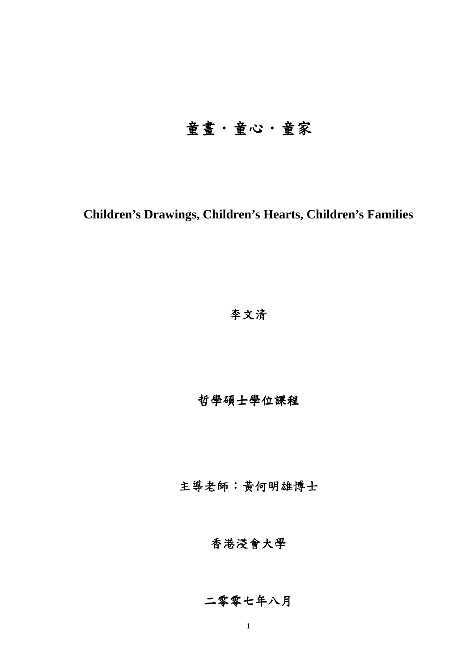# 童畫.童心.童家

# **Children's Drawings, Children's Hearts, Children's Families**

# 李文清

# 哲學碩士學位課程

主導老師:黃何明雄博士

### 香港浸會大學

# 二零零七年八月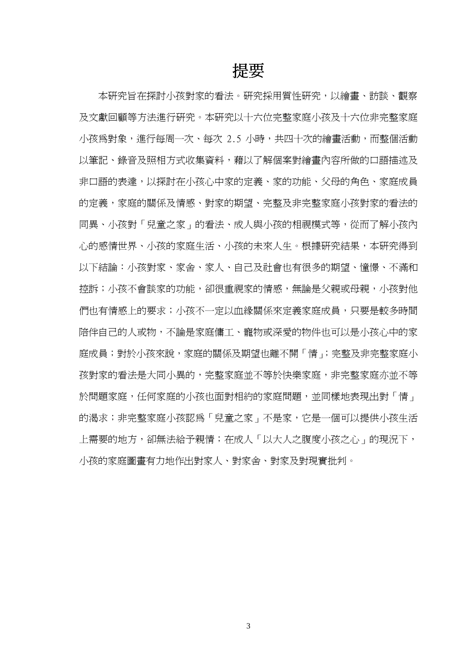# 提要

本研究旨在探討小孩對家的看法。研究採用質性研究,以繪畫、訪談、觀察 及文獻回顧等方法進行研究。本研究以十六位完整家庭小孩及十六位非完整家庭 小孩為對象,進行每周一次、每次 2.5 小時,共四十次的繪畫活動,而整個活動 以筆記、錄音及照相方式收集資料,藉以了解個案對繪畫內容所做的口語描述及 非口語的表達,以探討在小孩心中家的定義、家的功能、父母的角色、家庭成員 的定義,家庭的關係及情感、對家的期望、完整及非完整家庭小孩對家的看法的 同異、小孩對「兒童之家」的看法、成人與小孩的相視模式等,從而了解小孩內 心的感情世界、小孩的案庭生活、小孩的未來人生。根據研究結果,本研究得到 以下結論:小孩對家、家舍、家人、自己及社會也有很多的期望、憧憬、不滿和 控訴;小孩不會談家的功能,卻很重視家的情感,無論是父親或母親,小孩對他 們也有情感上的要求;小孩不一定以血緣關係來定義家庭成員,只要是較多時間 陪伴自己的人或物,不論是家庭傭工、寵物或深愛的物件也可以是小孩心中的家 庭成員;對於小孩來說,家庭的關係及期望也離不開「情」;完整及非完整家庭小 孩對家的看法是大同小異的,完整家庭並不等於快樂家庭,非完整家庭亦並不等 於問題家庭,任何家庭的小孩也面對相約的家庭問題,並同樣地表現出對「情」 的渴求;非完整家庭小孩認為「兒童之家」不是家,它是一個可以提供小孩生活 上需要的地方,卻無法給予親情;在成人「以大人之腹度小孩之心」的現況下, 小孩的家庭圖畫有力地作出對家人、對家舍、對家及對現實批判。

3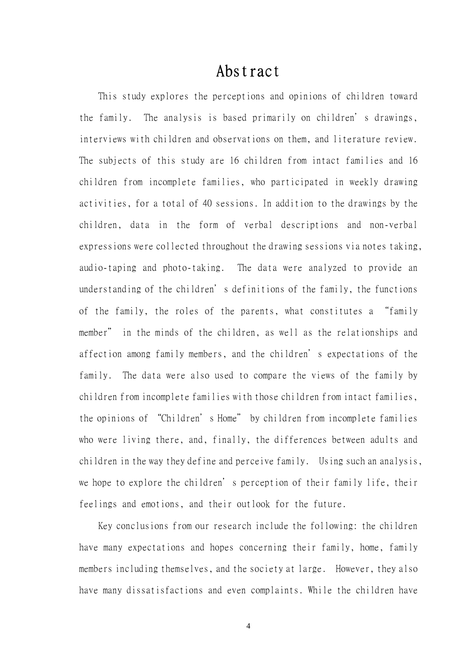# Abstract

This study explores the perceptions and opinions of children toward the family. The analysis is based primarily on children's drawings, interviews with children and observations on them, and literature review. The subjects of this study are 16 children from intact families and 16 children from incomplete families, who participated in weekly drawing activities, for a total of 40 sessions. In addition to the drawings by the children, data in the form of verbal descriptions and non-verbal expressions were collected throughout the drawing sessions via notes taking, audio-taping and photo-taking. The data were analyzed to provide an understanding of the children's definitions of the family, the functions of the family, the roles of the parents, what constitutes a "family member" in the minds of the children, as well as the relationships and affection among family members, and the children's expectations of the family. The data were also used to compare the views of the family by children from incomplete families with those children from intact families, the opinions of "Children's Home" by children from incomplete families who were living there, and, finally, the differences between adults and children in the way they define and perceive family. Using such an analysis, we hope to explore the children's perception of their family life, their feelings and emotions, and their outlook for the future.

Key conclusions from our research include the following: the children have many expectations and hopes concerning their family, home, family members including themselves, and the society at large. However, they also have many dissatisfactions and even complaints. While the children have

4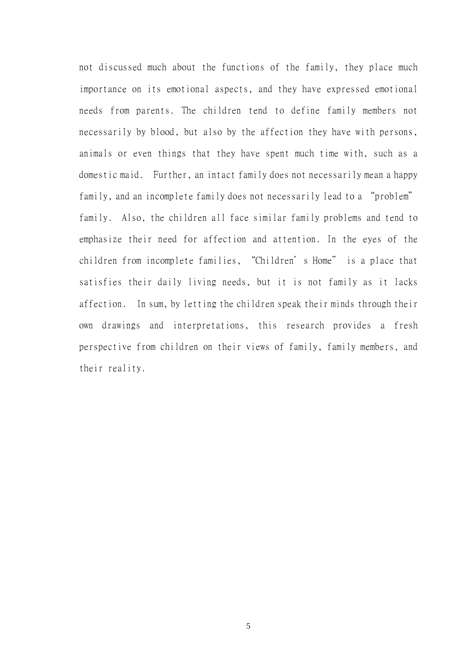not discussed much about the functions of the family, they place much importance on its emotional aspects, and they have expressed emotional needs from parents. The children tend to define family members not necessarily by blood, but also by the affection they have with persons, animals or even things that they have spent much time with, such as a domestic maid. Further, an intact family does not necessarily mean a happy family, and an incomplete family does not necessarily lead to a "problem" family. Also, the children all face similar family problems and tend to emphasize their need for affection and attention. In the eyes of the children from incomplete families, "Children's Home" is a place that satisfies their daily living needs, but it is not family as it lacks affection. In sum, by letting the children speak their minds through their own drawings and interpretations, this research provides a fresh perspective from children on their views of family, family members, and their reality.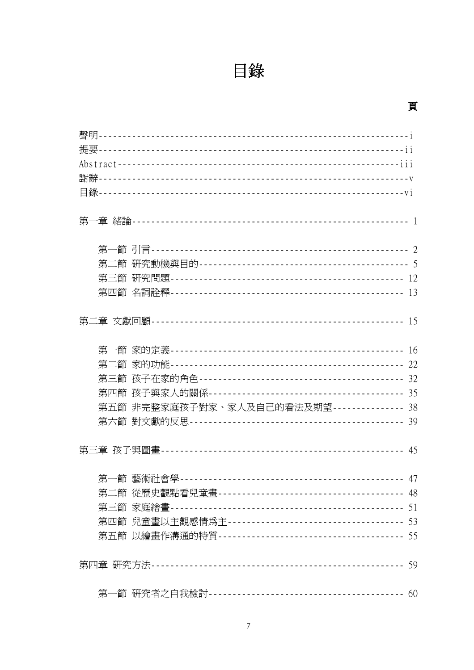目錄

# 頁

| 第五節 非完整家庭孩子對家、家人及自己的看法及期望--------------- 38 |  |
|---------------------------------------------|--|
|                                             |  |
|                                             |  |
|                                             |  |
|                                             |  |
|                                             |  |
|                                             |  |
|                                             |  |
|                                             |  |
|                                             |  |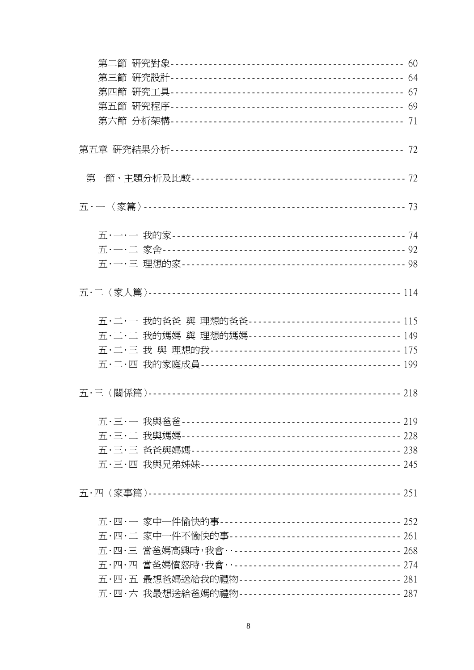| 五·二·一 我的爸爸 與 理想的爸爸--------------------------------- 115 |  |
|---------------------------------------------------------|--|
| 五·二·二 我的媽媽 與 理想的媽媽--------------------------------149   |  |
|                                                         |  |
|                                                         |  |
|                                                         |  |
|                                                         |  |
|                                                         |  |
|                                                         |  |
|                                                         |  |
|                                                         |  |
|                                                         |  |
|                                                         |  |
| 五·四·三 當爸媽高興時,我會…----------------------------------- 268 |  |
| 五·四·四 當爸媽憤怒時,我會…----------------------------------- 274 |  |
| 五·四·五 最想爸媽送給我的禮物--------------------------------- 281   |  |
| 五·四·六 我最想送給爸媽的禮物--------------------------------- 287   |  |